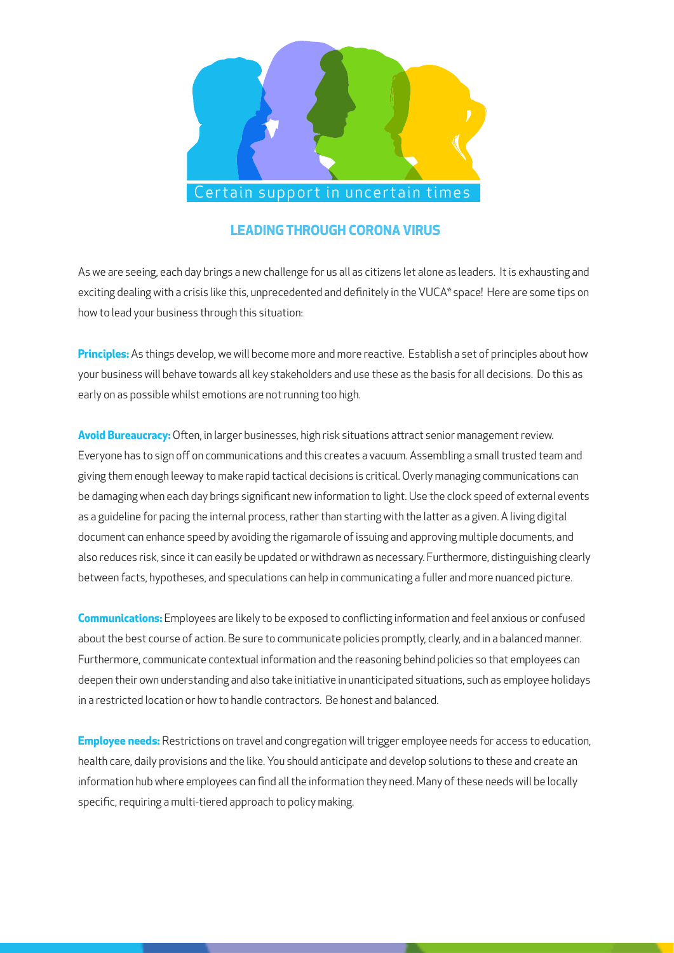

## **LEADING THROUGH CORONA VIRUS**

As we are seeing, each day brings a new challenge for us all as citizens let alone as leaders. It is exhausting and exciting dealing with a crisis like this, unprecedented and definitely in the VUCA\* space! Here are some tips on how to lead your business through this situation:

**Principles:** As things develop, we will become more and more reactive. Establish a set of principles about how your business will behave towards all key stakeholders and use these as the basis for all decisions. Do this as early on as possible whilst emotions are not running too high.

**Avoid Bureaucracy:** Often, in larger businesses, high risk situations attract senior management review. Everyone has to sign off on communications and this creates a vacuum. Assembling a small trusted team and giving them enough leeway to make rapid tactical decisions is critical. Overly managing communications can be damaging when each day brings significant new information to light. Use the clock speed of external events as a guideline for pacing the internal process, rather than starting with the latter as a given. A living digital document can enhance speed by avoiding the rigamarole of issuing and approving multiple documents, and also reduces risk, since it can easily be updated or withdrawn as necessary. Furthermore, distinguishing clearly between facts, hypotheses, and speculations can help in communicating a fuller and more nuanced picture.

**Communications:** Employees are likely to be exposed to conflicting information and feel anxious or confused about the best course of action. Be sure to communicate policies promptly, clearly, and in a balanced manner. Furthermore, communicate contextual information and the reasoning behind policies so that employees can deepen their own understanding and also take initiative in unanticipated situations, such as employee holidays in a restricted location or how to handle contractors. Be honest and balanced.

**Employee needs:** Restrictions on travel and congregation will trigger employee needs for access to education, health care, daily provisions and the like. You should anticipate and develop solutions to these and create an information hub where employees can find all the information they need. Many of these needs will be locally specific, requiring a multi-tiered approach to policy making.